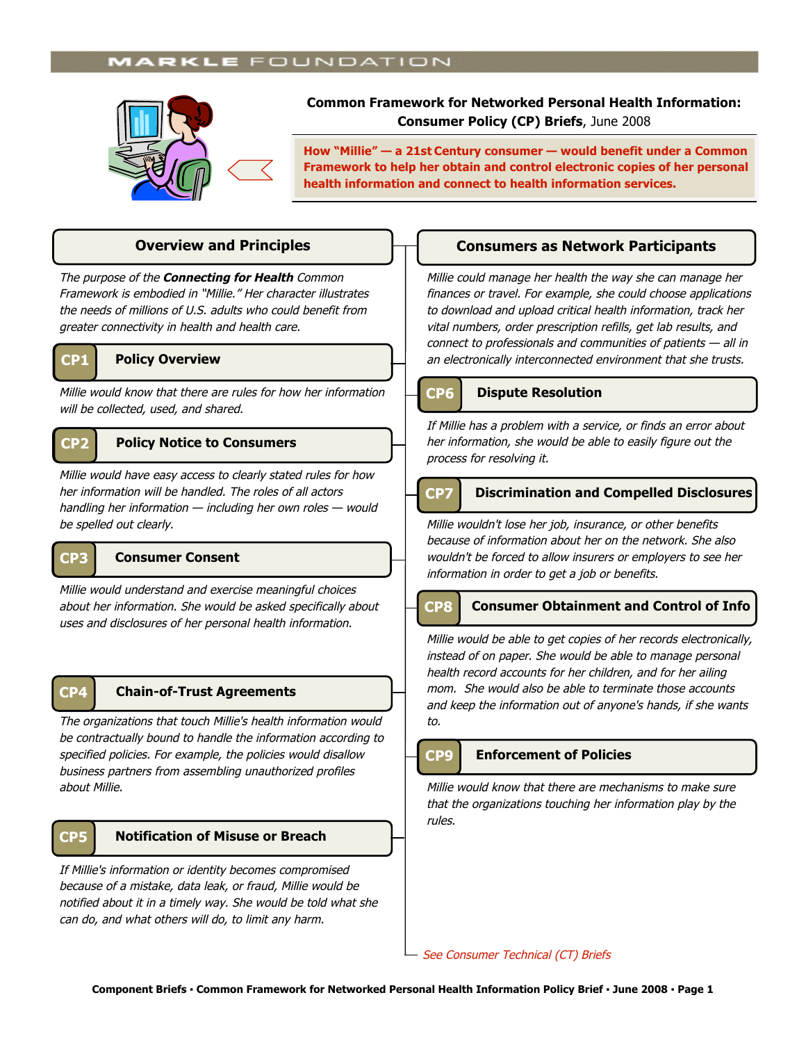# **MARKLE** FOUNDATION



**Common Framework for Networked Personal Health Information: Consumer Policy (CP) Briefs**, June 2008

**How "Millie" — a 21st Century consumer — would benefit under a Common Framework to help her obtain and control electronic copies of her personal health information and connect to health information services.**

The purpose of the **Connecting for Health** Common Framework is embodied in "Millie." Her character illustrates the needs of millions of U.S. adults who could benefit from greater connectivity in health and health care.



### **CP1 Policy Overview**

Millie would know that there are rules for how her information will be collected, used, and shared.

## **CP2 Policy Notice to Consumers**

Millie would have easy access to clearly stated rules for how her information will be handled. The roles of all actors handling her information — including her own roles — would be spelled out clearly.



## **CP3 Consumer Consent**

Millie would understand and exercise meaningful choices about her information. She would be asked specifically about uses and disclosures of her personal health information.

## **CP4**

### **Chain-of-Trust Agreements**

The organizations that touch Millie's health information would be contractually bound to handle the information according to specified policies. For example, the policies would disallow business partners from assembling unauthorized profiles about Millie.

## **CP5 Notification of Misuse or Breach**

If Millie's information or identity becomes compromised because of a mistake, data leak, or fraud, Millie would be notified about it in a timely way. She would be told what she can do, and what others will do, to limit any harm.

## **Overview and Principles Consumers as Network Participants**

Millie could manage her health the way she can manage her finances or travel. For example, she could choose applications to download and upload critical health information, track her vital numbers, order prescription refills, get lab results, and connect to professionals and communities of patients — all in an electronically interconnected environment that she trusts.

## **CP6 Dispute Resolution**

If Millie has a problem with a service, or finds an error about her information, she would be able to easily figure out the process for resolving it.

## **CP7 Discrimination and Compelled Disclosures**

Millie wouldn't lose her job, insurance, or other benefits because of information about her on the network. She also wouldn't be forced to allow insurers or employers to see her information in order to get a job or benefits.



ľ

### **Consumer Obtainment and Control of Info**

Millie would be able to get copies of her records electronically, instead of on paper. She would be able to manage personal health record accounts for her children, and for her ailing mom. She would also be able to terminate those accounts and keep the information out of anyone's hands, if she wants to. **InfoInfoInfo@** 

## **CP9 Enforcement of Policies**

Millie would know that there are mechanisms to make sure that the organizations touching her information play by the rules.

- See Consumer Technical (CT) Briefs